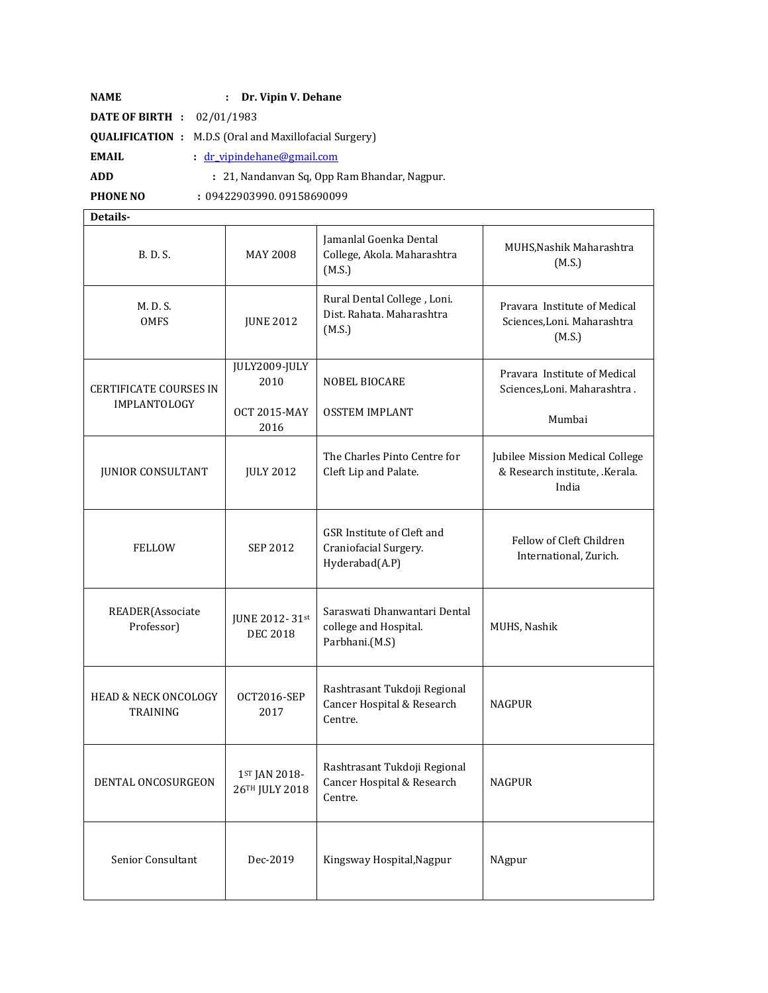| <b>NAME</b>                         | : Dr. Vipin V. Dehane                                         |
|-------------------------------------|---------------------------------------------------------------|
| <b>DATE OF BIRTH</b> : $02/01/1983$ |                                                               |
|                                     | <b>QUALIFICATION</b> : M.D.S (Oral and Maxillofacial Surgery) |
| EMAIL                               | : dr_vipindehane@gmail.com                                    |
| <b>ADD</b>                          | : 21, Nandanyan Sq. Opp Ram Bhandar, Nagpur.                  |
| <b>PHONE NO</b>                     | : 09422903990.09158690099                                     |

**Details-**

| B. D. S.                                    | <b>MAY 2008</b>                   | Jamanlal Goenka Dental<br>College, Akola. Maharashtra<br>(M.S.)         | MUHS, Nashik Maharashtra<br>(M.S.)                                         |
|---------------------------------------------|-----------------------------------|-------------------------------------------------------------------------|----------------------------------------------------------------------------|
| M.D.S.<br><b>OMFS</b>                       | <b>JUNE 2012</b>                  | Rural Dental College, Loni.<br>Dist. Rahata. Maharashtra<br>(M.S.)      | Pravara Institute of Medical<br>Sciences, Loni. Maharashtra<br>(M.S.)      |
| <b>CERTIFICATE COURSES IN</b>               | JULY2009-JULY<br>2010             | <b>NOBEL BIOCARE</b>                                                    | Pravara Institute of Medical<br>Sciences, Loni. Maharashtra.               |
| IMPLANTOLOGY                                | <b>OCT 2015-MAY</b><br>2016       | <b>OSSTEM IMPLANT</b>                                                   | Mumbai                                                                     |
| <b>JUNIOR CONSULTANT</b>                    | <b>JULY 2012</b>                  | The Charles Pinto Centre for<br>Cleft Lip and Palate.                   | Jubilee Mission Medical College<br>& Research institute, .Kerala.<br>India |
| <b>FELLOW</b>                               | <b>SEP 2012</b>                   | GSR Institute of Cleft and<br>Craniofacial Surgery.<br>Hyderabad(A.P)   | Fellow of Cleft Children<br>International, Zurich.                         |
| READER(Associate<br>Professor)              | JUNE 2012-31st<br><b>DEC 2018</b> | Saraswati Dhanwantari Dental<br>college and Hospital.<br>Parbhani.(M.S) | MUHS, Nashik                                                               |
| <b>HEAD &amp; NECK ONCOLOGY</b><br>TRAINING | OCT2016-SEP<br>2017               | Rashtrasant Tukdoji Regional<br>Cancer Hospital & Research<br>Centre.   | <b>NAGPUR</b>                                                              |
| DENTAL ONCOSURGEON                          | 1ST JAN 2018-<br>26TH JULY 2018   | Rashtrasant Tukdoji Regional<br>Cancer Hospital & Research<br>Centre.   | <b>NAGPUR</b>                                                              |
| Senior Consultant                           | Dec-2019                          | Kingsway Hospital, Nagpur                                               | NAgpur                                                                     |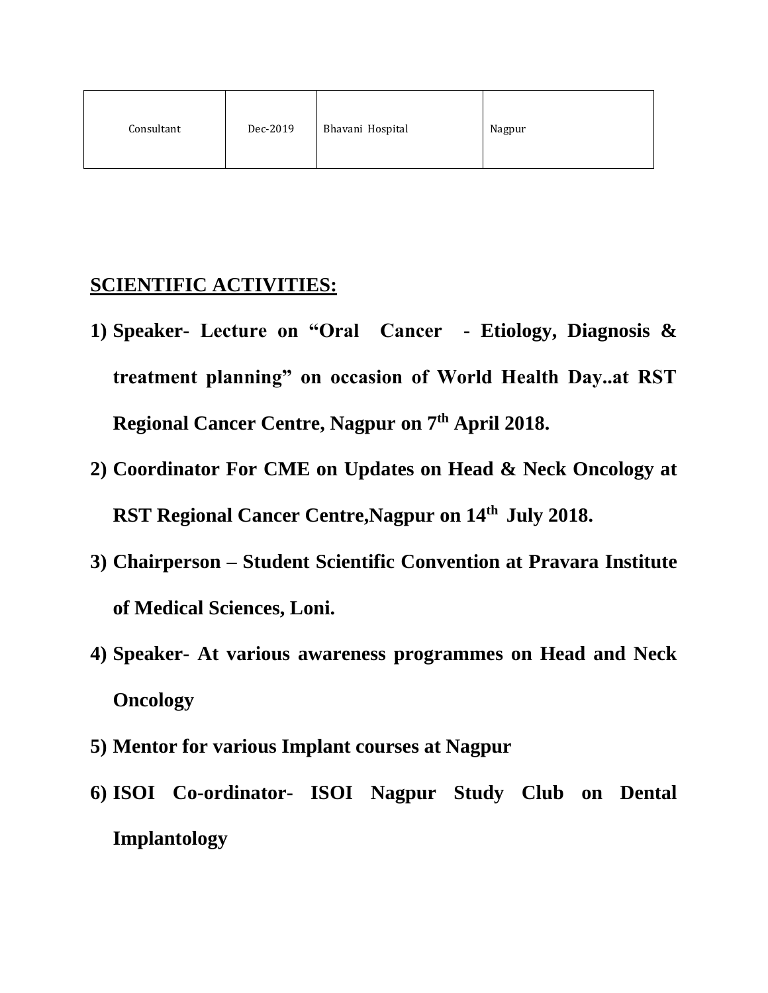| Dec-2019<br>Consultant | Bhavani Hospital | Nagpur |
|------------------------|------------------|--------|
|------------------------|------------------|--------|

## **SCIENTIFIC ACTIVITIES:**

- **1) Speaker- Lecture on "Oral Cancer - Etiology, Diagnosis & treatment planning" on occasion of World Health Day..at RST Regional Cancer Centre, Nagpur on 7th April 2018.**
- **2) Coordinator For CME on Updates on Head & Neck Oncology at RST Regional Cancer Centre,Nagpur on 14th July 2018.**
- **3) Chairperson – Student Scientific Convention at Pravara Institute of Medical Sciences, Loni.**
- **4) Speaker- At various awareness programmes on Head and Neck Oncology**
- **5) Mentor for various Implant courses at Nagpur**
- **6) ISOI Co-ordinator- ISOI Nagpur Study Club on Dental Implantology**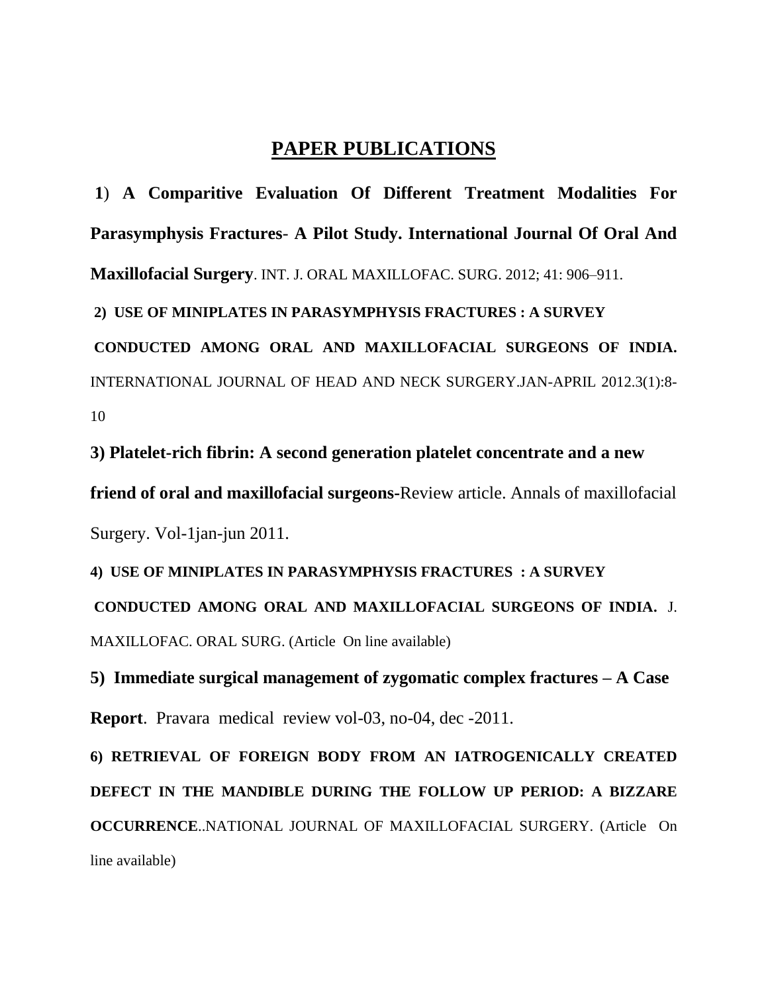## **PAPER PUBLICATIONS**

**1**) **A Comparitive Evaluation Of Different Treatment Modalities For Parasymphysis Fractures**- **A Pilot Study. International Journal Of Oral And Maxillofacial Surgery**. INT. J. ORAL MAXILLOFAC. SURG. 2012; 41: 906–911.

**2) USE OF MINIPLATES IN PARASYMPHYSIS FRACTURES : A SURVEY**

**CONDUCTED AMONG ORAL AND MAXILLOFACIAL SURGEONS OF INDIA.** INTERNATIONAL JOURNAL OF HEAD AND NECK SURGERY.JAN-APRIL 2012.3(1):8- 10

**3) Platelet-rich fibrin: A second generation platelet concentrate and a new** 

**friend of oral and maxillofacial surgeons-**Review article. Annals of maxillofacial Surgery. Vol-1jan-jun 2011.

**4) USE OF MINIPLATES IN PARASYMPHYSIS FRACTURES : A SURVEY CONDUCTED AMONG ORAL AND MAXILLOFACIAL SURGEONS OF INDIA.** J. MAXILLOFAC. ORAL SURG. (Article On line available)

**5) Immediate surgical management of zygomatic complex fractures – A Case Report**. Pravara medical review vol-03, no-04, dec -2011.

**6) RETRIEVAL OF FOREIGN BODY FROM AN IATROGENICALLY CREATED DEFECT IN THE MANDIBLE DURING THE FOLLOW UP PERIOD: A BIZZARE OCCURRENCE**..NATIONAL JOURNAL OF MAXILLOFACIAL SURGERY. (Article On line available)